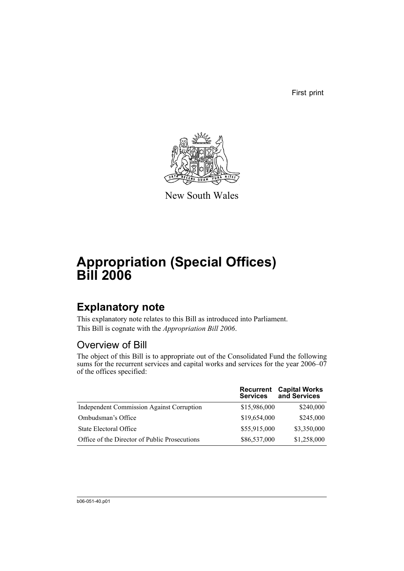First print



New South Wales

# **Appropriation (Special Offices) Bill 2006**

# **Explanatory note**

This explanatory note relates to this Bill as introduced into Parliament. This Bill is cognate with the *Appropriation Bill 2006*.

## Overview of Bill

The object of this Bill is to appropriate out of the Consolidated Fund the following sums for the recurrent services and capital works and services for the year 2006–07 of the offices specified:

|                                                  | <b>Recurrent</b><br><b>Services</b> | <b>Capital Works</b><br>and Services |
|--------------------------------------------------|-------------------------------------|--------------------------------------|
| <b>Independent Commission Against Corruption</b> | \$15,986,000                        | \$240,000                            |
| Ombudsman's Office                               | \$19,654,000                        | \$245,000                            |
| State Electoral Office                           | \$55,915,000                        | \$3,350,000                          |
| Office of the Director of Public Prosecutions    | \$86,537,000                        | \$1,258,000                          |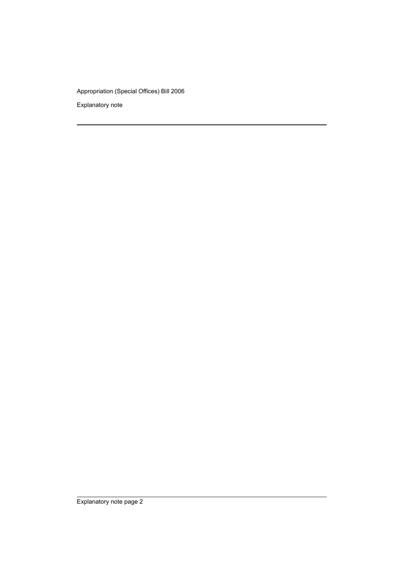Appropriation (Special Offices) Bill 2006

Explanatory note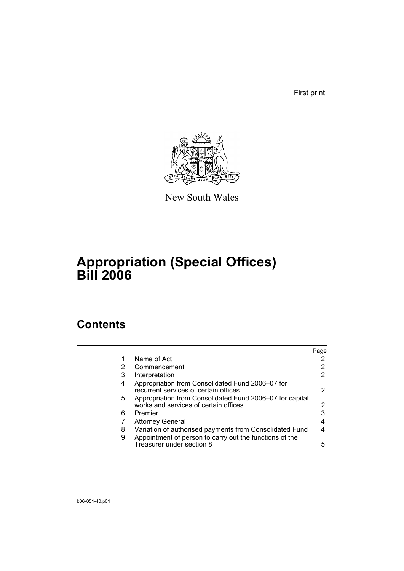First print



New South Wales

# **Appropriation (Special Offices) Bill 2006**

## **Contents**

|        |                                                                                                   | Page |
|--------|---------------------------------------------------------------------------------------------------|------|
|        | Name of Act                                                                                       |      |
| 2      | Commencement                                                                                      | 2    |
| 3      | Interpretation                                                                                    | 2    |
| 4      | Appropriation from Consolidated Fund 2006-07 for<br>recurrent services of certain offices         | 2    |
| 5      | Appropriation from Consolidated Fund 2006-07 for capital<br>works and services of certain offices | 2    |
| 6      | Premier                                                                                           | 3    |
|        | <b>Attorney General</b>                                                                           | 4    |
| 8<br>9 | Variation of authorised payments from Consolidated Fund                                           | 4    |
|        | Appointment of person to carry out the functions of the<br>Treasurer under section 8              | 5    |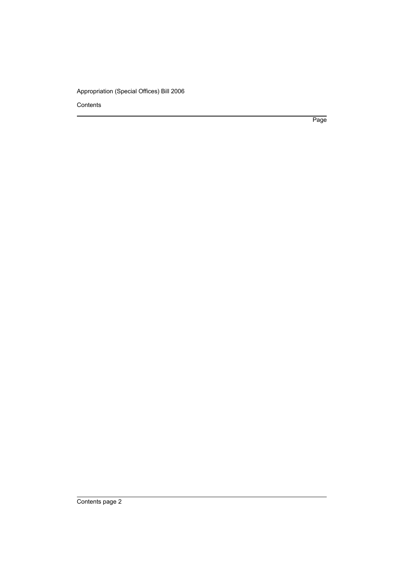Appropriation (Special Offices) Bill 2006

Contents

Page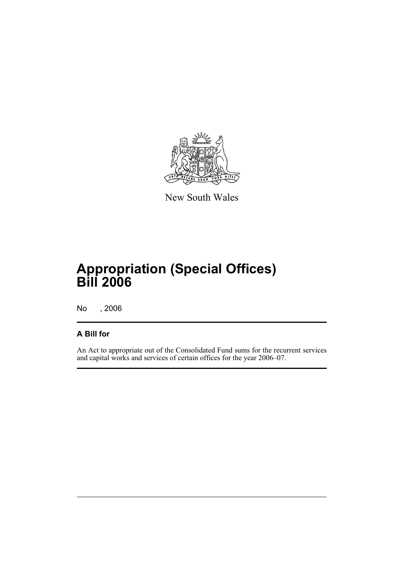

New South Wales

# **Appropriation (Special Offices) Bill 2006**

No , 2006

## **A Bill for**

An Act to appropriate out of the Consolidated Fund sums for the recurrent services and capital works and services of certain offices for the year 2006–07.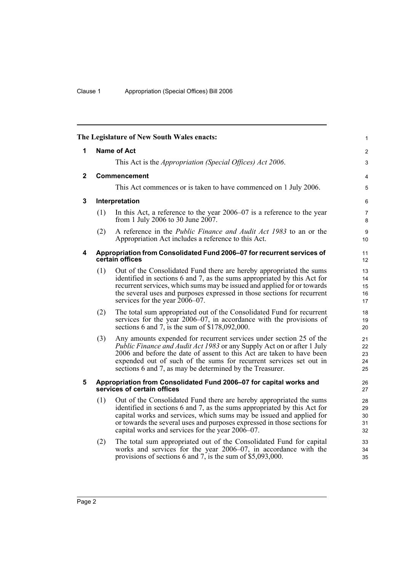<span id="page-5-4"></span><span id="page-5-3"></span><span id="page-5-2"></span><span id="page-5-1"></span><span id="page-5-0"></span>

| The Legislature of New South Wales enacts: |                    |                                                                                                                                                                                                                                                                                                                                                                 | $\mathbf{1}$               |
|--------------------------------------------|--------------------|-----------------------------------------------------------------------------------------------------------------------------------------------------------------------------------------------------------------------------------------------------------------------------------------------------------------------------------------------------------------|----------------------------|
| 1                                          | <b>Name of Act</b> |                                                                                                                                                                                                                                                                                                                                                                 |                            |
|                                            |                    | This Act is the <i>Appropriation (Special Offices) Act 2006</i> .                                                                                                                                                                                                                                                                                               | 3                          |
| $\mathbf{2}$                               |                    | Commencement                                                                                                                                                                                                                                                                                                                                                    | 4                          |
|                                            |                    | This Act commences or is taken to have commenced on 1 July 2006.                                                                                                                                                                                                                                                                                                | 5                          |
| 3                                          |                    | Interpretation                                                                                                                                                                                                                                                                                                                                                  | 6                          |
|                                            | (1)                | In this Act, a reference to the year $2006-07$ is a reference to the year<br>from 1 July 2006 to 30 June 2007.                                                                                                                                                                                                                                                  | 7<br>8                     |
|                                            | (2)                | A reference in the <i>Public Finance and Audit Act 1983</i> to an or the<br>Appropriation Act includes a reference to this Act.                                                                                                                                                                                                                                 | 9<br>10                    |
| 4                                          |                    | Appropriation from Consolidated Fund 2006-07 for recurrent services of<br>certain offices                                                                                                                                                                                                                                                                       | 11<br>12 <sup>°</sup>      |
|                                            | (1)                | Out of the Consolidated Fund there are hereby appropriated the sums<br>identified in sections 6 and 7, as the sums appropriated by this Act for<br>recurrent services, which sums may be issued and applied for or towards<br>the several uses and purposes expressed in those sections for recurrent<br>services for the year 2006–07.                         | 13<br>14<br>15<br>16<br>17 |
|                                            | (2)                | The total sum appropriated out of the Consolidated Fund for recurrent<br>services for the year $2006-07$ , in accordance with the provisions of<br>sections 6 and 7, is the sum of $$178,092,000$ .                                                                                                                                                             | 18<br>19<br>20             |
|                                            | (3)                | Any amounts expended for recurrent services under section 25 of the<br><i>Public Finance and Audit Act 1983</i> or any Supply Act on or after 1 July<br>2006 and before the date of assent to this Act are taken to have been<br>expended out of such of the sums for recurrent services set out in<br>sections 6 and 7, as may be determined by the Treasurer. | 21<br>22<br>23<br>24<br>25 |
| 5                                          |                    | Appropriation from Consolidated Fund 2006-07 for capital works and<br>services of certain offices                                                                                                                                                                                                                                                               | 26<br>27                   |
|                                            | (1)                | Out of the Consolidated Fund there are hereby appropriated the sums<br>identified in sections 6 and 7, as the sums appropriated by this Act for<br>capital works and services, which sums may be issued and applied for<br>or towards the several uses and purposes expressed in those sections for<br>capital works and services for the year $2006-07$ .      | 28<br>29<br>30<br>31<br>32 |
|                                            | (2)                | The total sum appropriated out of the Consolidated Fund for capital<br>works and services for the year 2006–07, in accordance with the<br>provisions of sections 6 and 7, is the sum of \$5,093,000.                                                                                                                                                            | 33<br>34<br>35             |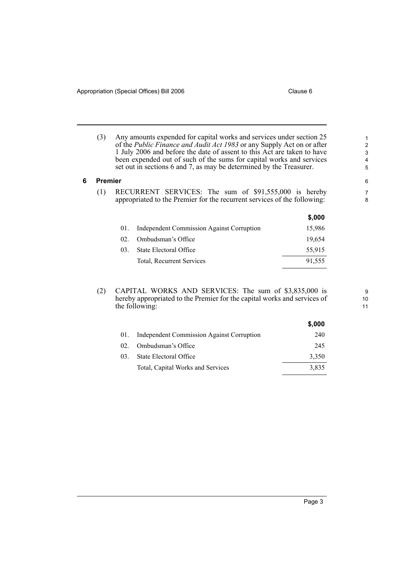- 
- (3) Any amounts expended for capital works and services under section 25 of the *Public Finance and Audit Act 1983* or any Supply Act on or after 1 July 2006 and before the date of assent to this Act are taken to have been expended out of such of the sums for capital works and services set out in sections 6 and 7, as may be determined by the Treasurer.

## <span id="page-6-0"></span>**6 Premier**

(1) RECURRENT SERVICES: The sum of \$91,555,000 is hereby appropriated to the Premier for the recurrent services of the following:

|          |                                           | \$,000 |
|----------|-------------------------------------------|--------|
| 01.      | Independent Commission Against Corruption | 15.986 |
| $02_{-}$ | Ombudsman's Office                        | 19,654 |
| 03.      | State Electoral Office                    | 55,915 |
|          | Total, Recurrent Services                 | 91,555 |

## (2) CAPITAL WORKS AND SERVICES: The sum of \$3,835,000 is hereby appropriated to the Premier for the capital works and services of the following:

|     |                                               | \$,000 |
|-----|-----------------------------------------------|--------|
|     | 01. Independent Commission Against Corruption | 240    |
|     | 02. Ombudsman's Office                        | 245    |
| 03. | State Electoral Office                        | 3,350  |
|     | Total, Capital Works and Services             | 3,835  |

6 7 8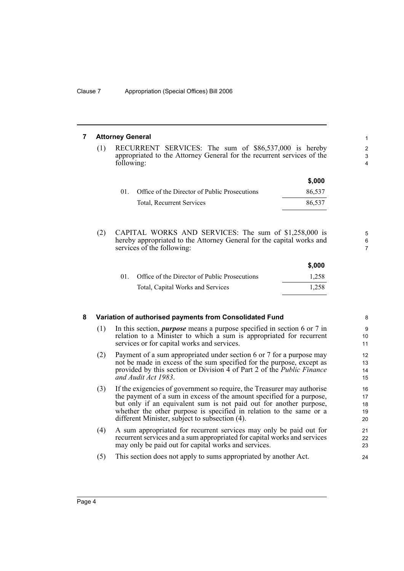## <span id="page-7-0"></span>**7 Attorney General**

(1) RECURRENT SERVICES: The sum of \$86,537,000 is hereby appropriated to the Attorney General for the recurrent services of the following:

|    |                                               | \$,000 |
|----|-----------------------------------------------|--------|
| 01 | Office of the Director of Public Prosecutions | 86.537 |
|    | <b>Total, Recurrent Services</b>              | 86.537 |

(2) CAPITAL WORKS AND SERVICES: The sum of \$1,258,000 is hereby appropriated to the Attorney General for the capital works and services of the following:

|                                               | \$,000 |
|-----------------------------------------------|--------|
| Office of the Director of Public Prosecutions | 1.258  |
| Total, Capital Works and Services             | 1.258  |

## <span id="page-7-1"></span>**8 Variation of authorised payments from Consolidated Fund**

- (1) In this section, *purpose* means a purpose specified in section 6 or 7 in relation to a Minister to which a sum is appropriated for recurrent services or for capital works and services.
- (2) Payment of a sum appropriated under section 6 or 7 for a purpose may not be made in excess of the sum specified for the purpose, except as provided by this section or Division 4 of Part 2 of the *Public Finance and Audit Act 1983*.
- (3) If the exigencies of government so require, the Treasurer may authorise the payment of a sum in excess of the amount specified for a purpose, but only if an equivalent sum is not paid out for another purpose, whether the other purpose is specified in relation to the same or a different Minister, subject to subsection (4).
- (4) A sum appropriated for recurrent services may only be paid out for recurrent services and a sum appropriated for capital works and services may only be paid out for capital works and services.
- (5) This section does not apply to sums appropriated by another Act.

> 5 6 7